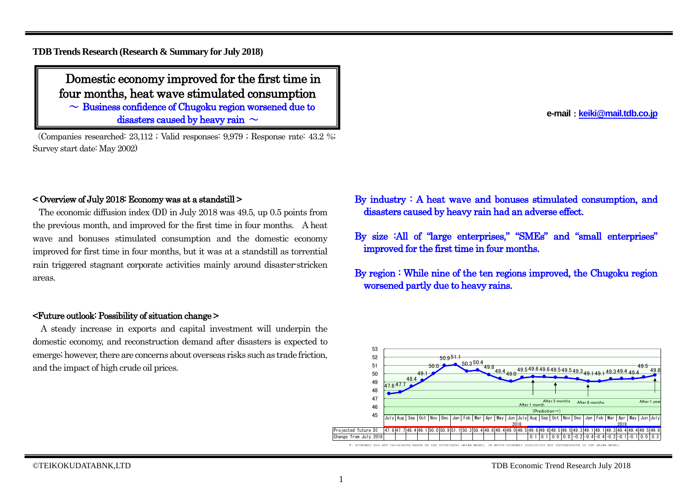**TDB Trends Research (Research & Summary for July 2018)**

Domestic economy improved for the first time in four months, heat wave stimulated consumption

 $\sim$  Business confidence of Chugoku region worsened due to disasters caused by heavy rain  $\sim$ 

(Companies researched: 23,112 ; Valid responses: 9,979 ; Response rate: 43.2 %; Survey start date: May 2002)

#### < Overview of July 2018: Economy was at a standstill >

The economic diffusion index (DI) in July 2018 was 49.5, up 0.5 points from the previous month, and improved for the first time in four months. A heat wave and bonuses stimulated consumption and the domestic economy improved for first time in four months, but it was at a standstill as torrential rain triggered stagnant corporate activities mainly around disaster-stricken areas.

#### <Future outlook: Possibility of situation change >

A steady increase in exports and capital investment will underpin the domestic economy, and reconstruction demand after disasters is expected to emerge; however, there are concerns about overseas risks such as trade friction, and the impact of high crude oil prices.

**e-mail**:**[keiki@mail.tdb.co.jp](mailto:keiki@mail.tdb.co.jp)**

- By industry : A heat wave and bonuses stimulated consumption, and disasters caused by heavy rain had an adverse effect.
- By size :All of "large enterprises," "SMEs" and "small enterprises" improved for the first time in four months.
- By region : While nine of the ten regions improved, the Chugoku region worsened partly due to heavy rains.

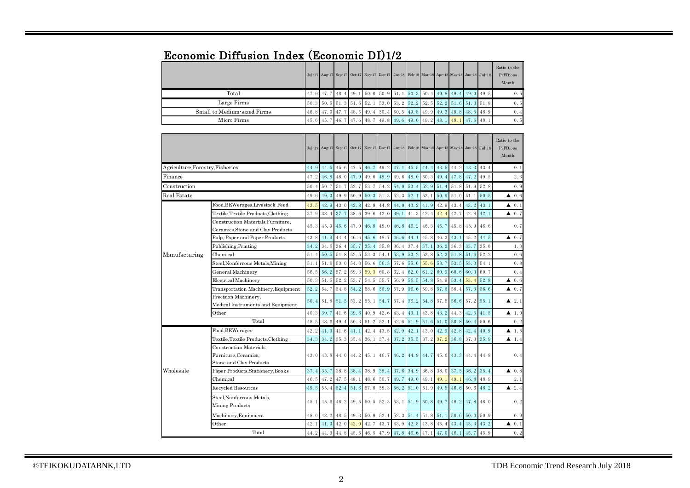| Economic Diffusion Index (Economic DI)1/2 |  |
|-------------------------------------------|--|
|-------------------------------------------|--|

|                             |  |  |  |  |                                                                               |  | Jul-17 Aug 17 Sep-17 Oct-17 Nov-17 Dec-17 Jan-18 Feb-18 Mar-18 Apr-18 May-18 Jun-18 Jul-18 | Ratio to the<br>PrFDious<br>Month |
|-----------------------------|--|--|--|--|-------------------------------------------------------------------------------|--|--------------------------------------------------------------------------------------------|-----------------------------------|
| Total                       |  |  |  |  |                                                                               |  | 47, 6 47, 7 48, 4 49, 1 50, 0 50, 9 51, 1 50, 3 50, 4 49, 8 49, 4 49, 0 49, 5              | 0.5                               |
| Large Firms                 |  |  |  |  |                                                                               |  | 50, 3 50, 5 51, 3 51, 6 52, 1 53, 0 53, 2 52, 2 52, 5 52, 2 51, 6 51, 3 51, 8              | 0.5                               |
| Small to Medium-sized Firms |  |  |  |  |                                                                               |  | 46.8 47.0 47.7 48.5 49.4 50.4 50.5 49.8 49.9 49.3 48.8 48.5 48.9                           | 0.4                               |
| Micro Firms                 |  |  |  |  | 45. 6 45. 7 46. 7 47. 6 48. 7 49. 8 49. 6 49. 0 49. 2 48. 1 48. 1 47. 6 48. 1 |  |                                                                                            | 0.5                               |

|                                  |                                                                            |      |      |      |                          |      |           | Jul-17 Aug-17 Sep-17 Oct-17 Nov-17 Dec-17 Jan-18 Feb-18 Mar-18 Apr-18 May-18 Jun-18 Jul-18 |           |           |             |                       |      |      | Ratio to the<br>PrFDious<br>Month |
|----------------------------------|----------------------------------------------------------------------------|------|------|------|--------------------------|------|-----------|--------------------------------------------------------------------------------------------|-----------|-----------|-------------|-----------------------|------|------|-----------------------------------|
| Agriculture, Forestry, Fisheries |                                                                            | 44.9 | 44.5 | 45.6 | 47.5 46.7                |      | 49.2      | 47.1                                                                                       | 45.5      | 44.4      | 43.5        | 44.2                  | 43.3 | 43.4 | 0.1                               |
| Finance                          |                                                                            | 47.2 | 46.8 | 48.0 | 47.9                     | 49.0 | 48.9      | 49.6                                                                                       | 48.0      | 50.3      | 49.4        | 47.8                  | 47.2 | 49.5 | 2.3                               |
| Construction                     |                                                                            | 50.4 | 50.7 | 51.7 | 52.7                     | 53.7 | 54.2 54.0 |                                                                                            | 53.4      | 52.9      | 51.4        | 51.8 51.9             |      | 52.8 | 0.9                               |
| Real Estate                      |                                                                            | 49.6 | 49.3 | 49.9 | 50.9                     | 50.3 | 51.3      | 52.3                                                                                       | 52.1      | 53.1      | 50.9        | 51.0                  | 51.1 | 50.5 | $\triangle$ 0.6                   |
|                                  | Food, BEWerages, Livestock Feed                                            | 43.5 | 42.9 | 43.0 | 42.8                     | 42.9 | 44.8      | 44.0                                                                                       | 43.2      | 41.9      | 42.9        | 43.4                  | 43.2 | 43.1 | $\blacktriangle$ 0.1              |
|                                  | Textile, Textile Products, Clothing                                        | 37.9 | 38.4 | 37.7 | 38.6                     | 39.6 | 42.0      | 39.1                                                                                       | 41.3      | 42.4      | 42.4        | 42.7                  | 42.8 | 42.1 | $\triangle$ 0.7                   |
|                                  | Construction Materials, Furniture,<br>Ceramics, Stone and Clay Products    | 45.3 | 45.9 | 45.6 | 47.0 46.8                |      | 48.0 46.8 |                                                                                            | 46.2      | 46.3      | $45.7$ 45.8 |                       | 45.9 | 46.6 | 0.7                               |
|                                  | Pulp, Paper and Paper Products                                             | 43.8 | 41.9 | 44.4 | 46.6                     | 45.6 | 48.7      | 46.6                                                                                       | 44.1      | 45.8      | 46.3        | 43.1                  | 45.2 | 44.5 | $\triangle$ 0.7                   |
|                                  | Publishing, Printing                                                       | 34.2 | 34.6 | 36.4 | 35.7                     | 35.4 | 35.8      | 36.4                                                                                       | 37.4      | 37.1      | 36.2        | 36.3                  | 33.7 | 35.0 | 1.3                               |
| Manufacturing                    | Chemical                                                                   | 51.4 | 50.5 | 51.8 | 52.5                     | 53.3 | 54.1      | 53.9                                                                                       | 53.2      | 53.8      | 52.3        | 51.8                  | 51.6 | 52.2 | 0.6                               |
|                                  | Steel, Nonferrous Metals, Mining                                           | 51.1 | 51.6 | 53.0 | 54.3                     | 56.6 | 56.3      | 57.6                                                                                       | 55.6      | 55.6      | 53.7        | 53.5                  | 53.3 | 54.1 | 0.8                               |
|                                  | General Machinery                                                          | 56.5 | 56.2 | 57.2 | 59.3                     | 59.3 | 60.8      | 62.4                                                                                       | 62.0      | 61.2      | 60.9        | 60.6                  | 60.3 | 60.7 | 0.4                               |
|                                  | <b>Electrical Machinery</b>                                                | 50.3 | 51.5 | 52.2 | 53.7                     | 54.5 | 55.7      | 56.9                                                                                       | 56.5      | 54.8      | 54.9        | 53.4                  | 53.4 | 52.8 | $\blacktriangle$ 0.6              |
|                                  | Transportation Machinery, Equipment                                        | 52.2 | 54.7 | 54.8 | 54.2                     | 58.6 | 56.9      | 57.9                                                                                       | 56.6      | 59.8      | 57.6        | 58.4                  | 57.3 | 56.6 | $\blacktriangle$ 0.7              |
|                                  | Precision Machinery,<br>Medical Instruments and Equipment                  | 50.4 |      |      | 51.8 51.5 53.2 55.1 54.7 |      |           | 57.4                                                                                       | 56.2 54.8 |           | $57.5$ 56.6 |                       | 57.2 | 55.1 | $\blacktriangle$ 2.1              |
|                                  | Other                                                                      | 40.3 | 39.7 | 41.6 | 39.6                     | 40.9 | 42.6      | 43.4                                                                                       | 43.1      | 43.8      | 43.2        | 44.3                  | 42.5 | 41.5 | $\blacktriangle$ 1.0              |
|                                  | Total                                                                      | 48.5 | 48.6 | 49.4 | 50.3                     | 51.2 | 52.1      | 52.6                                                                                       | 51.9      | 51.6      | 51.0        | 50.8                  | 50.4 | 50.6 | 0.2                               |
|                                  | Food, BEWerages                                                            | 42.2 | 41.3 | 41.6 | 41.1                     | 42.4 | 43.5      | 42.9                                                                                       | 42.1      | 43.0      | 42.9        | 42.8                  | 42.4 | 40.9 | $\blacktriangle$ 1.5              |
|                                  | Textile, Textile Products, Clothing                                        | 34.3 | 34.2 | 35.3 | 35.4                     | 36.1 | 37.4      | 37.2                                                                                       | 35.5      | 37.2      | 37.2        | 36.8                  | 37.3 | 35.9 | $\blacktriangle$ 1.4              |
|                                  | Construction Materials,<br>Furniture, Ceramics,<br>Stone and Clay Products | 43.0 | 43.8 | 44.0 |                          |      |           | 44. 2 45. 1 46. 7 46. 2 44. 9 44. 7                                                        |           |           |             | 45.0 43.3 44.4 44.8   |      |      | 0.4                               |
| Wholesale                        | Paper Products, Stationery, Books                                          | 37.4 | 35.7 | 38.8 | 38.4                     |      |           | 38.9 38.4 37.6 34.9                                                                        |           | 36.8      |             | $38.0$ 37.5 36.2      |      | 35.4 | $\triangle$ 0.8                   |
|                                  | Chemical                                                                   | 46.5 | 47.2 | 47.5 | 48.1                     | 48.6 | 50.7      | 49.7                                                                                       | 49.0      | 49.1      | 49.1        | 49.1                  | 46.8 | 48.9 | 2.1                               |
|                                  | Recycled Resources                                                         | 49.5 | 55.4 | 52.4 | 51.6                     | 57.8 | 58.3      | 56.2                                                                                       | 51.0      | 51.9      | 49.5        | 46.6                  | 50.6 | 48.2 | $\triangle$ 2.4                   |
|                                  | Steel, Nonferrous Metals,<br>Mining Products                               | 45.1 | 45.6 |      |                          |      |           | 46.2 49.5 50.5 52.3 53.1 51.9 50.8                                                         |           |           |             | $49.7$ 48.2 47.8 48.0 |      |      | 0.2                               |
|                                  | Machinery, Equipment                                                       | 48.0 | 48.2 | 48.5 | 49.3                     | 50.9 | 52.1      | 52.3 51.4                                                                                  |           | 51.8 51.1 |             | 50.6                  | 50.0 | 50.9 | 0.9                               |
|                                  | Other                                                                      | 42.1 | 41.3 | 42.0 | 42.0                     | 42.7 | 43.7      | 43.9                                                                                       | 42.8      | 43.8      | 45.4        | 43.4                  | 43.3 | 43.2 | $\blacktriangle$ 0.1              |
|                                  | Total                                                                      | 44.2 |      |      |                          |      |           | 44. 3 44. 8 45. 5 46. 5 47. 9 47. 8 46. 6 47. 1 47. 0 46. 1                                |           |           |             |                       | 45.7 | 45.9 | 0.2                               |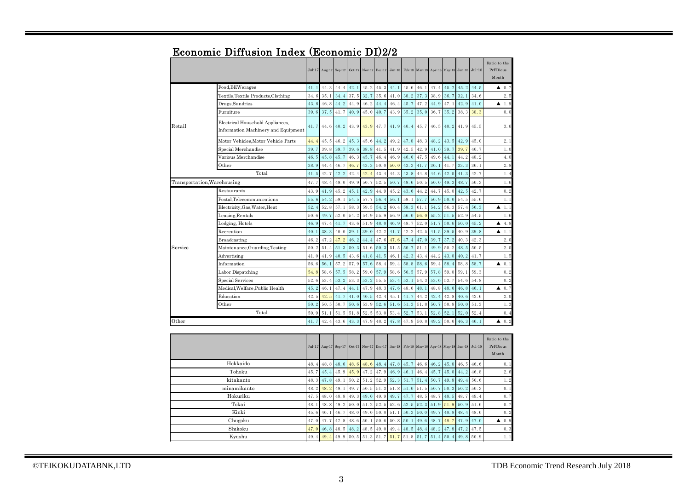|                             |                                                                         | $Jul-17$ | Aug-17 | $Sep-17$ | $Oct-17$                                  | Nov-17 | $Dec-17$ | $Jan-18$ | Feb $18$ | $Mar-18$ | Apr 18 | May 18                                           | $Jun-18$ | $Jul-18$ | Ratio to the<br>PrFDious<br>Month |
|-----------------------------|-------------------------------------------------------------------------|----------|--------|----------|-------------------------------------------|--------|----------|----------|----------|----------|--------|--------------------------------------------------|----------|----------|-----------------------------------|
|                             | Food, BEWerages                                                         | 41.1     | 44.3   | 44.4     | 42.1                                      | 45.2   | 45.3     | 44.1     | 45.6     | 46.1     | 47.4   | 45.7                                             | 45.2     | 44.5     | 0.7<br>▲                          |
|                             | Textile, Textile Products, Clothing                                     | 34.6     | 35.1   | 34.4     | 37.5                                      | 32.7   | 35.6     | 41.0     | 38.2     | 37.3     | 38.9   | 36.7                                             | 32.1     | 34.6     | 2.5                               |
|                             | Drugs, Sundries                                                         | 43.8     | 46.8   | 44.2     | 44.9                                      | 46.2   | 44.4     | 46.4     | 45.7     | 47.2     | 44.9   | 47.1                                             | 42.9     | 41.0     | 1.9<br>▲                          |
|                             | Furniture                                                               | 39.6     | 37.5   | 41.7     | 40.9                                      | 45.0   | 40.7     | 43.9     | 35.2     | 35.0     | 36.7   | 35.2                                             | 38.3     | 38.3     | 0.0                               |
| Retail                      | Electrical Household Appliances,<br>Information Machinery and Equipment | 41.7     | 44.6   | 40.2     | 43.9                                      | 43.9   | 47.7     | 41.9     | 40.4     | 45.7     | 46.5   | 40.2                                             | 41.9     | 45.5     | 3.6                               |
|                             | Motor Vehicles, Motor Vehicle Parts                                     | 44.4     | 45.5   | 46.2     | 45.3                                      | 45.6   | 44.2     | 49.2     | 47.8     | 48.3     | 48.2   | 43.5                                             | 42.9     | 45.0     | 2.1                               |
|                             | Special Merchandise                                                     | 39.7     | 39.8   | 39.7     | 39.6                                      | 38.8   | 41.5     | 41.9     | 42.5     | 42.9     | 41.0   | 39.7                                             | 39.7     | 40.7     | 1.0                               |
|                             | Various Merchandise                                                     | 46.5     | 45.8   | 45.7     | 46.3                                      | 45.7   | 46.4     | 46.9     | 46.0     | 47.5     | 49.6   | 44.1                                             | 44.2     | 48.2     | 4.0                               |
|                             | Other                                                                   | 38.9     | 44.4   | 46.7     | 46.7                                      | 43.3   | 50.0     | 50.0     | 43.3     | 41.7     | 36.1   | 41.7                                             | 33.3     | 36.1     | 2.8                               |
|                             | Total                                                                   | 41.5     | 42.7   | 42.2     | 42.4                                      | 42.4   | 43.4     | 44.3     | 43.8     | 44.8     | 44.6   | 42.0                                             | 41.3     | 42.7     | 1.4                               |
| Transportation, Warehousing |                                                                         | 47.7     | 48.4   | 49.0     | 49.9                                      | 50.7   | 52.5     | 50.7     | 49.6     | 50.5     | 50.0   | 49.3                                             | 48.7     | 50.3     | 1.6                               |
|                             | Restaurants                                                             | 43.9     | 41.9   | 45.2     | 45.1                                      | 42.9   | 44.9     | 45.2     | 43.6     | 44.2     | 44.7   | 45.0                                             | 42.5     | 42.7     | 0.2                               |
|                             | Postal,Telecommunications                                               | 55.6     | 54.2   | 59.1     | 54.5                                      | 57.7   | 56.4     | 56.1     | 59.1     | 57.7     | 56.9   | 50.0                                             | 54.5     | 55.6     | 1.1                               |
|                             | Electricity, Gas, Water, Heat                                           | 52.4     | 52.8   | 57.1     | 58.3                                      | 59.5   | 54.2     | 60.4     | 58.3     | 61.1     | 54.2   | 56.3                                             | 57.4     | 56.3     | 1.1<br>▲                          |
|                             | Leasing, Rentals                                                        | 50.6     | 49.7   | 52.0     | 54.2                                      | 54.9   | 55.9     | 56.9     | 56.0     | 56.0     | 55.2   | 51.5                                             | 52.9     | 54.5     | 1.6                               |
|                             | Lodging, Hotels                                                         | 46.9     | 47.4   | 41.7     | 43.6                                      | 51.9   | 48.0     | 46.9     | 48.7     | 52.0     | 51.7   | 50.6                                             | 50.0     | 45.2     | 4.8<br>▲                          |
|                             | Recreation                                                              | 40.1     | 38.3   | 40.0     | 39.1                                      | 39.0   | 42.2     | 41.7     | 42.2     | 42.5     | 41.5   | 39.5                                             | 40.9     | 39.8     | ▲<br>1.1                          |
|                             | Broadcasting                                                            | 46.2     | 47.2   | 47.2     | 46.2                                      | 44.4   | 47.6     | 47.6     | 47.4     | 47.0     | 39.7   | 37.2                                             | 40.3     | 42.3     | 2.0                               |
| Service                     | Maintenance, Guarding, Testing                                          | 50.2     | 51.4   | 51.3     | 50.3                                      | 51.6   | 50.3     | 51.5     | 50.7     | 51.1     | 49.9   | 50.2                                             | 48.5     | 50.5     | 2.0                               |
|                             | Advertising                                                             | 41.0     | 41.9   | 40.5     | 43.6                                      | 41.8   | 41.5     | 46.1     | 42.3     | 43.4     | 44.2   | 43.0                                             | 40.2     | 41.7     | 1.5                               |
|                             | Information                                                             | 56.6     | 56.1   | 57.2     | 57.9                                      | 57.6   | 58.4     | 59.4     | 58.8     | 58.6     | 59.4   | 58.4                                             | 58.8     | 58.7     | 0.1<br>▲                          |
|                             | Labor Dispatching                                                       | 54.8     | 58.6   | 57.5     | 58.2                                      | 59.0   | 57.9     | 58.6     | 56.5     | 57.9     | 57.8   | 59.0                                             | 59.1     | 59.3     | 0.2                               |
|                             | Special Services                                                        | 52.6     | 53.4   | 53.2     | 53.3                                      | 53.2   | 55.5     | 53.4     | 53.1     | 54.3     | 53.6   | 53.7                                             | 54.6     | 54.8     | 0.2                               |
|                             | Medical, Welfare, Public Health                                         | 45.2     | 46.1   | 47.4     | 44.1                                      | 47.9   | 48.3     | 47.6     | 48.6     | 48.1     | 48.8   | 48.0                                             | 46.8     | 46.1     | 0.7<br>▲                          |
|                             | Education                                                               | 42.5     | 42.5   | 41.7     | 41.0                                      | 40.5   | 42.4     | 45.1     | 41.7     | 44.2     | 42.4   | 42.8                                             | 40.6     | 42.6     | 2.0                               |
|                             | Other                                                                   | 50.2     | 50.5   | 50.7     | 50.6                                      | 53.9   | 52.6     | 51.6     | 51.3     | 51.8     | 50.7   | 50.8                                             | 50.0     | 51.3     | 1.3                               |
|                             | Total                                                                   | 50.9     | 51.1   | 51.5     | 51.8                                      | 52.5   | 53.0     | 53.4     | 52.7     | 53.      | 52.8   | 52.                                              | 52.0     | 52.4     | 0.4                               |
| Other                       |                                                                         | 41.7     | 42.4   | 43.6     | 43.3                                      | 47.9   | 48.2     | 47.8     | 47.9     | 50.8     | 49.2   | 50.0                                             | 46.3     | 46.1     | 0.2<br>▲                          |
|                             |                                                                         |          |        |          |                                           |        |          |          |          |          |        |                                                  |          |          |                                   |
|                             |                                                                         |          |        |          | Jul-17 Aug-17 Sep-17 Oct-17 Nov-17 Dec-17 |        |          |          |          |          |        | Jan 18 Feb 18 Mar 18 Apr 18 May 18 Jun 18 Jul 18 |          |          | Ratio to the<br>PrFDious<br>Month |
|                             | Hokkaido                                                                | 48.4     | 48.8   | 48.6     | 48.6                                      | 48.6   | 48.4     | 47.8     | 45.7     | 46.6     | 46.2   | 45.8                                             | 46.5     | 46.6     | 0.1                               |
| Tohoku                      |                                                                         | 45.7     | 45.4   | 45.9     | 45.9                                      | 47.2   | 47.9     | 46.9     | 46.1     | 46.4     | 45.7   | 45.0                                             | 44.2     | 46.8     | 2.6                               |
| kitakanto                   |                                                                         | 48.3     | 47.8   | 49.1     | 50.2                                      | 51.2   | 52.9     | 52.3     | 51.7     | 51.4     | 50.7   | 49.8                                             | 49.4     | 50.6     | 1.2                               |
| minamikanto                 |                                                                         | 48.2     | 48.2   | 49.1     | 49.7                                      | 50.5   | 51.3     | 51.8     | 51.0     | 51.5     | 50.7   | 50.3                                             | 50.2     | 50.3     | 0.1                               |
| Hokuriku                    |                                                                         | 47.5     | 48.0   | 48.8     | 49.3                                      | 49.0   | 49.9     | 49.7     | 47.7     | 48.5     | 48.7   | 48.5                                             | 48.7     | 49.4     | 0.7                               |
| Tokai                       |                                                                         | 48.1     | 48.8   | 49.2     | 50.0                                      | 51.2   | 52.5     | 52.6     | 52.5     | 52.3     | 51.9   | 51.9                                             | 50.9     | 51.6     | 0.7                               |
| Kinki                       |                                                                         | 45.6     | 46.1   | 46.7     | 48.0                                      | 49.0   | 50.8     | 51.1     | 50.3     | 50.0     | 49.7   | 48.8                                             | 48.4     | 48.6     | 0.2                               |
| Chugoku                     |                                                                         | 47.0     | 47.7   | 47.8     | 48.6                                      | 50.1   | 50.6     | 50.8     | 50.1     | 49.6     | 48.7   | 48.7                                             | 47.9     | 47.0     | 0.9<br>▲                          |
|                             | Shikoku                                                                 | 47.0     | 46.8   | 48.5     | 48.2                                      | 48.5   | 49.0     | 49.4     | 48.5     | 48.4     | 48.2   | 47.8                                             | 47.2     | 47.5     | 0.3                               |
|                             | Kyushu                                                                  | 49.4     | 49.4   | 49.9     | 50.5                                      | 51.3   | 51.7     | 51.7     | 51.8     | 51.7     | 51.4   | 50.4                                             | 49.8     | 50.9     | 1.1                               |
|                             |                                                                         |          |        |          |                                           |        |          |          |          |          |        |                                                  |          |          |                                   |

## Economic Diffusion Index (Economic DI)2/2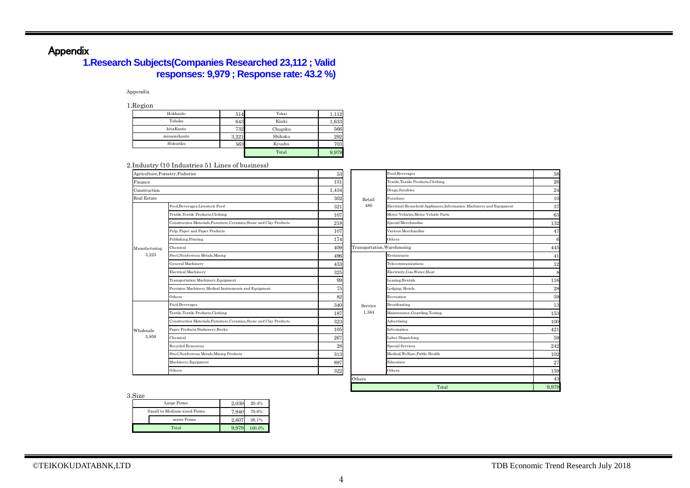# Appendix

## **1.Research Subjects(Companies Researched 23,112 ; Valid responses: 9,979 ; Response rate: 43.2 %)**

#### Appendix

1.Region

| --------    |       |         |       |
|-------------|-------|---------|-------|
| Hokkaido    | 514   | Tokai   | 112   |
| Tohoku      | 643   | Kinki   | 1,633 |
| kitaKanto   | 732   | Chugoku | 566   |
| minamikanto | 3,221 | Shikoku | 292   |
| Hokuriku    | 563   | Kyushu  | 703   |
|             |       | Total   | 9,979 |

#### 2.Industry (10 Industries 51 Lines of business)

| Agriculture, Forestry, Fisheries |                                                                      | 53    |                             | Food.Beverages          |
|----------------------------------|----------------------------------------------------------------------|-------|-----------------------------|-------------------------|
| Finance                          |                                                                      | 131   |                             | Textile, Textile Produ  |
| Construction                     |                                                                      | 1,434 |                             | Drugs, Sundries         |
| Real Estate                      |                                                                      | 302   | Retail                      | Furniture               |
|                                  | Food, Beverages, Livestock Feed                                      | 321   | 480                         | Electrical Household    |
|                                  | Textile, Textile Products, Clothing                                  | 107   |                             | Motor Vehicles, Moto    |
|                                  | Construction Materials, Furniture, Ceramics, Stone and Clay Products | 218   |                             | Special Merchandise     |
|                                  | Pulp, Paper and Paper Products                                       | 107   |                             | Various Merchandis      |
|                                  | Publishing, Printing                                                 | 174   |                             | Others                  |
| Manufacturing<br>3,223           | Chemical                                                             | 409   | Transportation, Warehousing |                         |
|                                  | Steel, Nonferrous Metals, Mining                                     | 496   |                             | Restaurants             |
|                                  | General Machinery                                                    | 433   |                             | Telecommunications      |
|                                  | Electrical Machinery                                                 | 325   |                             | Electricity, Gas, Wate  |
|                                  | Transportation Machinery, Equipment                                  | 99    |                             | Leasing, Rentals        |
|                                  | Precision Machinery, Medical Instruments and Equipment               | 75    |                             | Lodging, Hotels         |
|                                  | Others                                                               | 82    |                             | Recreation              |
|                                  | Food, Beverages                                                      | 340   | Service                     | Broadcasting            |
|                                  | Textile, Textile Products, Clothing                                  | 187   | 1,384                       | Maintenance.Guard       |
|                                  | Construction Materials, Furniture, Ceramics, Stone and Clay Products | 323   |                             | Advertising             |
| Wholesale                        | Paper Products, Stationery, Books                                    | 105   |                             | Information             |
| 3.959                            | Chemical                                                             | 267   |                             | Labor Dispatching       |
|                                  | Recycled Resources                                                   | 28    |                             | <b>Special Services</b> |
|                                  | Steel, Nonferrous Metals, Mining Products                            | 313   |                             | Medical, Welfare, Pub   |
|                                  | Machinery, Equipment                                                 | 897   |                             | Education               |
|                                  | Others                                                               | 322   |                             | Others                  |

| THUMBLICS OF EHICS OF DUSHICSS.                                      |       |                             |                                                                      |             |
|----------------------------------------------------------------------|-------|-----------------------------|----------------------------------------------------------------------|-------------|
| try, Fisheries                                                       | 53    |                             | Food, Beverages                                                      | 58          |
|                                                                      | 131   |                             | Textile, Textile Products, Clothing                                  | 26          |
|                                                                      | 1,434 |                             | Drugs, Sundries                                                      | $\sqrt{24}$ |
|                                                                      | 302   | Retail                      | Furniture                                                            | 10          |
| Food, Beverages, Livestock Feed                                      | 321   | 480                         | Electrical Household Appliances, Information Machinery and Equipment | 37          |
| Textile, Textile Products, Clothing                                  | 107   |                             | Motor Vehicles. Motor Vehicle Parts                                  | 63          |
| Construction Materials, Furniture, Ceramics, Stone and Clay Products | 218   |                             | Special Merchandise                                                  | 132         |
| Pulp, Paper and Paper Products                                       | 107   |                             | Various Merchandise                                                  | 47          |
| Publishing, Printing                                                 | 174   |                             | Others                                                               | 6           |
| Chemical                                                             | 409   | Transportation, Warehousing |                                                                      | 445         |
| Steel, Nonferrous Metals, Mining                                     | 496   |                             | Restaurants                                                          | 41          |
| General Machinery                                                    | 433   |                             | Telecommunications                                                   | 12          |
| Electrical Machinery                                                 | 325   |                             | Electricity, Gas, Water, Heat                                        | 8           |
| Transportation Machinery, Equipment                                  | 99    |                             | Leasing, Rentals                                                     | 116         |
| Precision Machinery, Medical Instruments and Equipment               | 75    |                             | Lodging, Hotels                                                      | $\bf 28$    |
| Others                                                               | 82    |                             | Recreation                                                           | 59          |
| Food, Beverages                                                      | 340   | Service                     | Broadcasting                                                         | 13          |
| Textile, Textile Products, Clothing                                  | 187   | 1,384                       | Maintenance, Guarding, Testing                                       | 153         |
| Construction Materials, Furniture, Ceramics, Stone and Clay Products | 323   |                             | Advertising                                                          | 100         |
| Paper Products, Stationery, Books                                    | 105   |                             | Information                                                          | 421         |
| Chemical                                                             | 267   |                             | Labor Dispatching                                                    | 59          |
| Recycled Resources                                                   | 28    |                             | <b>Special Services</b>                                              | 242         |
| Steel, Nonferrous Metals, Mining Products                            | 313   |                             | Medical, Welfare, Public Health                                      | 102         |
| Machinery, Equipment                                                 | 897   |                             | Education                                                            | 27          |
| Others                                                               | 322   |                             | Others                                                               | 159         |
|                                                                      |       | Others                      |                                                                      | 43          |
|                                                                      |       |                             | Total                                                                | 9,979       |

3.Size

| -------                     |       |        |
|-----------------------------|-------|--------|
| Large Firms                 | 2.039 | 20.4%  |
| Small to Medium-sized Firms | 7.940 | 79.6%  |
| micro Firms                 | 2.607 | 26.1%  |
| Total                       | 9.979 | 100.0% |